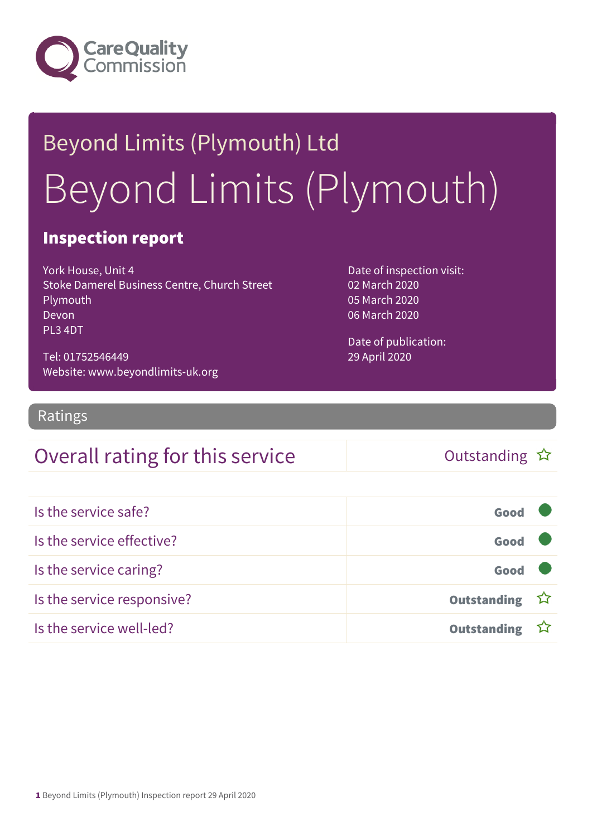

# Beyond Limits (Plymouth) Ltd Beyond Limits (Plymouth)

### Inspection report

York House, Unit 4 Stoke Damerel Business Centre, Church Street Plymouth Devon PL3 4DT

Tel: 01752546449 Website: www.beyondlimits-uk.org Date of inspection visit: 02 March 2020 05 March 2020 06 March 2020

Date of publication: 29 April 2020

Ratings

### Overall rating for this service  $\Box$  Outstanding  $\hat{x}$

| Is the service safe?       | Good               |  |
|----------------------------|--------------------|--|
| Is the service effective?  | Good               |  |
| Is the service caring?     | Good               |  |
| Is the service responsive? | Outstanding ☆      |  |
| Is the service well-led?   | <b>Outstanding</b> |  |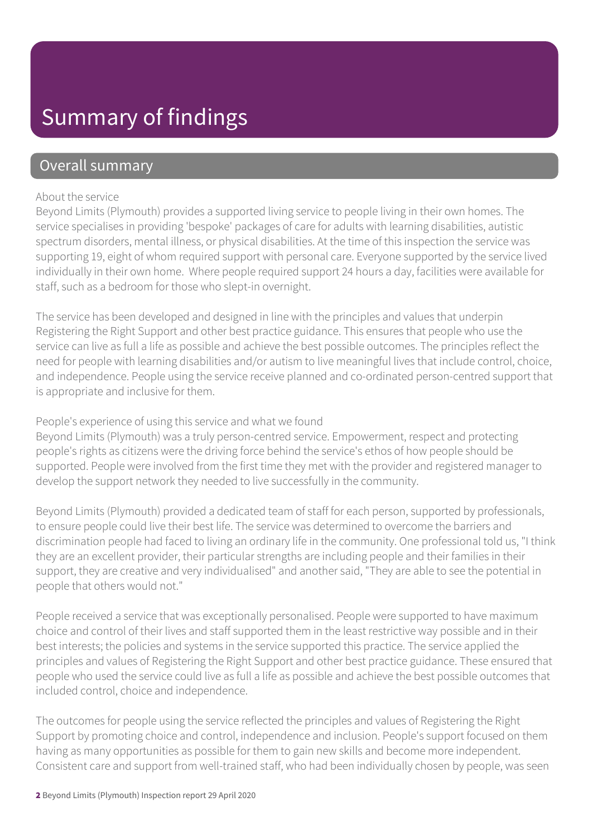### Summary of findings

### Overall summary

#### About the service

Beyond Limits (Plymouth) provides a supported living service to people living in their own homes. The service specialises in providing 'bespoke' packages of care for adults with learning disabilities, autistic spectrum disorders, mental illness, or physical disabilities. At the time of this inspection the service was supporting 19, eight of whom required support with personal care. Everyone supported by the service lived individually in their own home. Where people required support 24 hours a day, facilities were available for staff, such as a bedroom for those who slept-in overnight.

The service has been developed and designed in line with the principles and values that underpin Registering the Right Support and other best practice guidance. This ensures that people who use the service can live as full a life as possible and achieve the best possible outcomes. The principles reflect the need for people with learning disabilities and/or autism to live meaningful lives that include control, choice, and independence. People using the service receive planned and co-ordinated person-centred support that is appropriate and inclusive for them.

#### People's experience of using this service and what we found

Beyond Limits (Plymouth) was a truly person-centred service. Empowerment, respect and protecting people's rights as citizens were the driving force behind the service's ethos of how people should be supported. People were involved from the first time they met with the provider and registered manager to develop the support network they needed to live successfully in the community.

Beyond Limits (Plymouth) provided a dedicated team of staff for each person, supported by professionals, to ensure people could live their best life. The service was determined to overcome the barriers and discrimination people had faced to living an ordinary life in the community. One professional told us, "I think they are an excellent provider, their particular strengths are including people and their families in their support, they are creative and very individualised" and another said, "They are able to see the potential in people that others would not."

People received a service that was exceptionally personalised. People were supported to have maximum choice and control of their lives and staff supported them in the least restrictive way possible and in their best interests; the policies and systems in the service supported this practice. The service applied the principles and values of Registering the Right Support and other best practice guidance. These ensured that people who used the service could live as full a life as possible and achieve the best possible outcomes that included control, choice and independence.

The outcomes for people using the service reflected the principles and values of Registering the Right Support by promoting choice and control, independence and inclusion. People's support focused on them having as many opportunities as possible for them to gain new skills and become more independent. Consistent care and support from well-trained staff, who had been individually chosen by people, was seen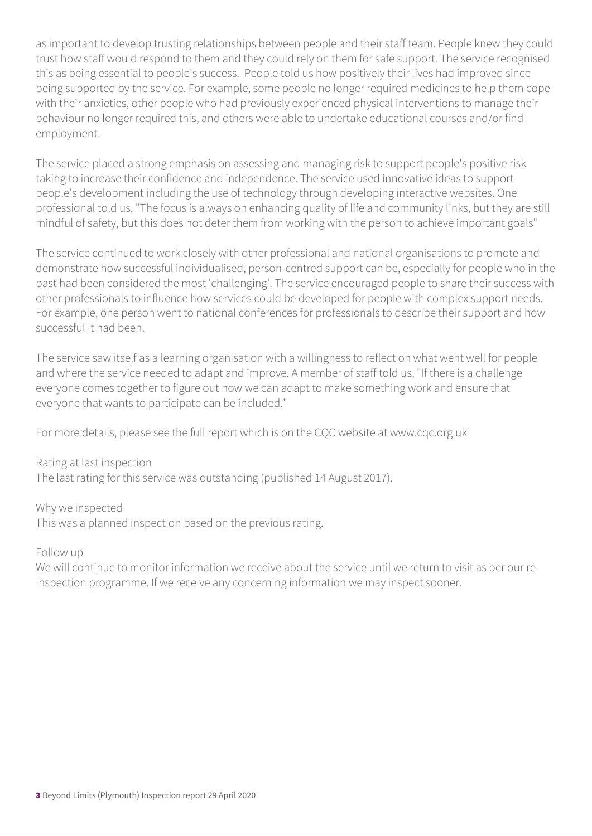as important to develop trusting relationships between people and their staff team. People knew they could trust how staff would respond to them and they could rely on them for safe support. The service recognised this as being essential to people's success. People told us how positively their lives had improved since being supported by the service. For example, some people no longer required medicines to help them cope with their anxieties, other people who had previously experienced physical interventions to manage their behaviour no longer required this, and others were able to undertake educational courses and/or find employment.

The service placed a strong emphasis on assessing and managing risk to support people's positive risk taking to increase their confidence and independence. The service used innovative ideas to support people's development including the use of technology through developing interactive websites. One professional told us, "The focus is always on enhancing quality of life and community links, but they are still mindful of safety, but this does not deter them from working with the person to achieve important goals"

The service continued to work closely with other professional and national organisations to promote and demonstrate how successful individualised, person-centred support can be, especially for people who in the past had been considered the most 'challenging'. The service encouraged people to share their success with other professionals to influence how services could be developed for people with complex support needs. For example, one person went to national conferences for professionals to describe their support and how successful it had been.

The service saw itself as a learning organisation with a willingness to reflect on what went well for people and where the service needed to adapt and improve. A member of staff told us, "If there is a challenge everyone comes together to figure out how we can adapt to make something work and ensure that everyone that wants to participate can be included."

For more details, please see the full report which is on the CQC website at www.cqc.org.uk

Rating at last inspection

The last rating for this service was outstanding (published 14 August 2017).

Why we inspected This was a planned inspection based on the previous rating.

Follow up

We will continue to monitor information we receive about the service until we return to visit as per our reinspection programme. If we receive any concerning information we may inspect sooner.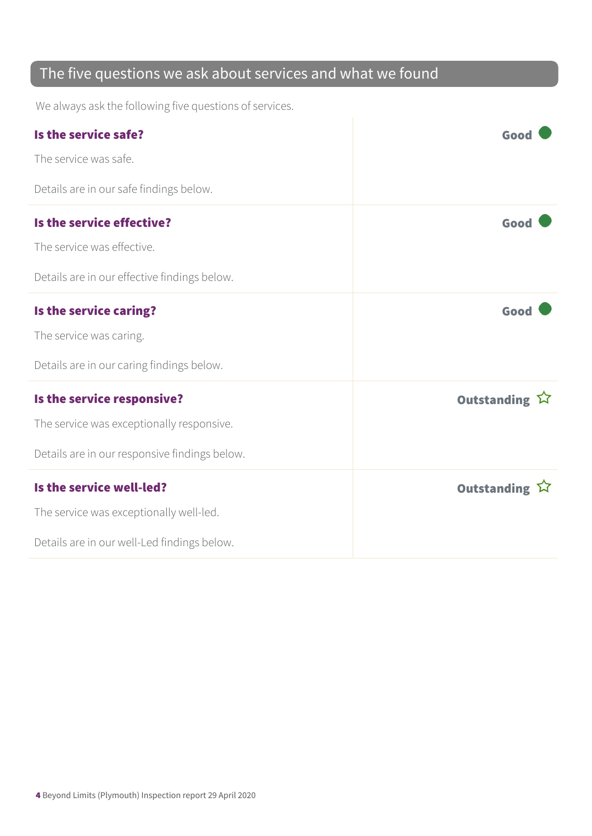### The five questions we ask about services and what we found

We always ask the following five questions of services.

| Is the service safe?<br>The service was safe.                                                                            | Good          |
|--------------------------------------------------------------------------------------------------------------------------|---------------|
| Details are in our safe findings below.                                                                                  |               |
| Is the service effective?<br>The service was effective.<br>Details are in our effective findings below.                  | Good          |
| Is the service caring?<br>The service was caring.<br>Details are in our caring findings below.                           | Good          |
| Is the service responsive?<br>The service was exceptionally responsive.<br>Details are in our responsive findings below. | Outstanding ☆ |
| Is the service well-led?<br>The service was exceptionally well-led.<br>Details are in our well-Led findings below.       | Outstanding 公 |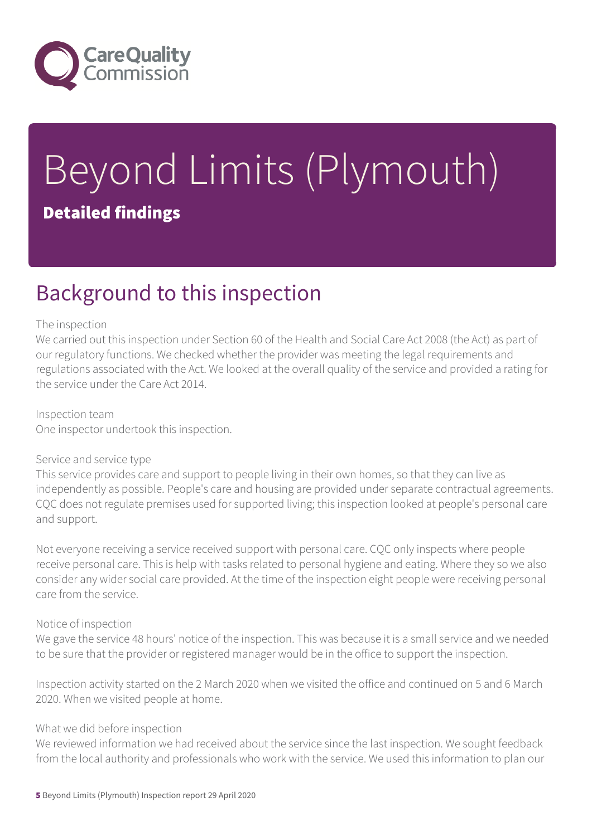

# Beyond Limits (Plymouth) Detailed findings

### Background to this inspection

#### The inspection

We carried out this inspection under Section 60 of the Health and Social Care Act 2008 (the Act) as part of our regulatory functions. We checked whether the provider was meeting the legal requirements and regulations associated with the Act. We looked at the overall quality of the service and provided a rating for the service under the Care Act 2014.

Inspection team One inspector undertook this inspection.

#### Service and service type

This service provides care and support to people living in their own homes, so that they can live as independently as possible. People's care and housing are provided under separate contractual agreements. CQC does not regulate premises used for supported living; this inspection looked at people's personal care and support.

Not everyone receiving a service received support with personal care. CQC only inspects where people receive personal care. This is help with tasks related to personal hygiene and eating. Where they so we also consider any wider social care provided. At the time of the inspection eight people were receiving personal care from the service.

#### Notice of inspection

We gave the service 48 hours' notice of the inspection. This was because it is a small service and we needed to be sure that the provider or registered manager would be in the office to support the inspection.

Inspection activity started on the 2 March 2020 when we visited the office and continued on 5 and 6 March 2020. When we visited people at home.

#### What we did before inspection

We reviewed information we had received about the service since the last inspection. We sought feedback from the local authority and professionals who work with the service. We used this information to plan our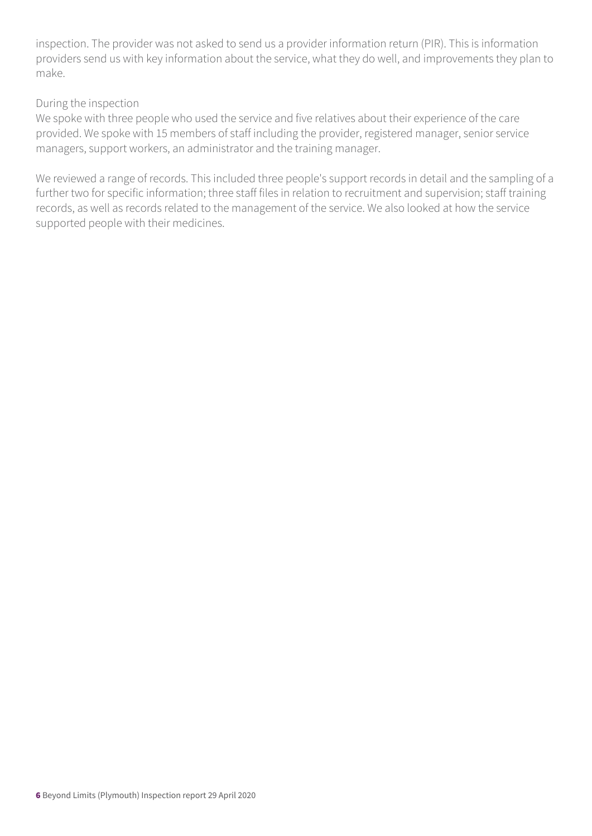inspection. The provider was not asked to send us a provider information return (PIR). This is information providers send us with key information about the service, what they do well, and improvements they plan to make.

#### During the inspection

We spoke with three people who used the service and five relatives about their experience of the care provided. We spoke with 15 members of staff including the provider, registered manager, senior service managers, support workers, an administrator and the training manager.

We reviewed a range of records. This included three people's support records in detail and the sampling of a further two for specific information; three staff files in relation to recruitment and supervision; staff training records, as well as records related to the management of the service. We also looked at how the service supported people with their medicines.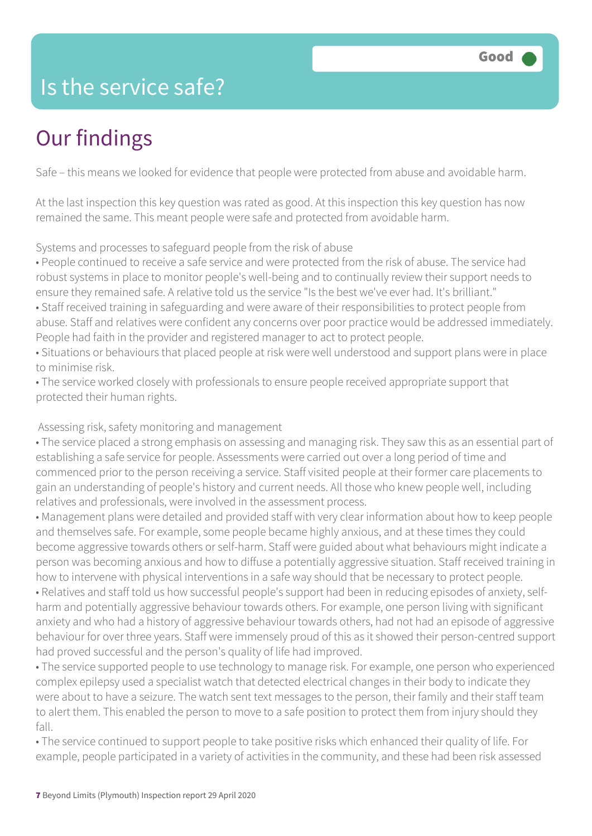### Is the service safe?

## Our findings

Safe – this means we looked for evidence that people were protected from abuse and avoidable harm.

At the last inspection this key question was rated as good. At this inspection this key question has now remained the same. This meant people were safe and protected from avoidable harm.

Systems and processes to safeguard people from the risk of abuse

• People continued to receive a safe service and were protected from the risk of abuse. The service had robust systems in place to monitor people's well-being and to continually review their support needs to ensure they remained safe. A relative told us the service "Is the best we've ever had. It's brilliant."

• Staff received training in safeguarding and were aware of their responsibilities to protect people from abuse. Staff and relatives were confident any concerns over poor practice would be addressed immediately. People had faith in the provider and registered manager to act to protect people.

• Situations or behaviours that placed people at risk were well understood and support plans were in place to minimise risk.

• The service worked closely with professionals to ensure people received appropriate support that protected their human rights.

Assessing risk, safety monitoring and management

• The service placed a strong emphasis on assessing and managing risk. They saw this as an essential part of establishing a safe service for people. Assessments were carried out over a long period of time and commenced prior to the person receiving a service. Staff visited people at their former care placements to gain an understanding of people's history and current needs. All those who knew people well, including relatives and professionals, were involved in the assessment process.

• Management plans were detailed and provided staff with very clear information about how to keep people and themselves safe. For example, some people became highly anxious, and at these times they could become aggressive towards others or self-harm. Staff were guided about what behaviours might indicate a person was becoming anxious and how to diffuse a potentially aggressive situation. Staff received training in how to intervene with physical interventions in a safe way should that be necessary to protect people. • Relatives and staff told us how successful people's support had been in reducing episodes of anxiety, selfharm and potentially aggressive behaviour towards others. For example, one person living with significant anxiety and who had a history of aggressive behaviour towards others, had not had an episode of aggressive behaviour for over three years. Staff were immensely proud of this as it showed their person-centred support had proved successful and the person's quality of life had improved.

• The service supported people to use technology to manage risk. For example, one person who experienced complex epilepsy used a specialist watch that detected electrical changes in their body to indicate they were about to have a seizure. The watch sent text messages to the person, their family and their staff team to alert them. This enabled the person to move to a safe position to protect them from injury should they fall.

• The service continued to support people to take positive risks which enhanced their quality of life. For example, people participated in a variety of activities in the community, and these had been risk assessed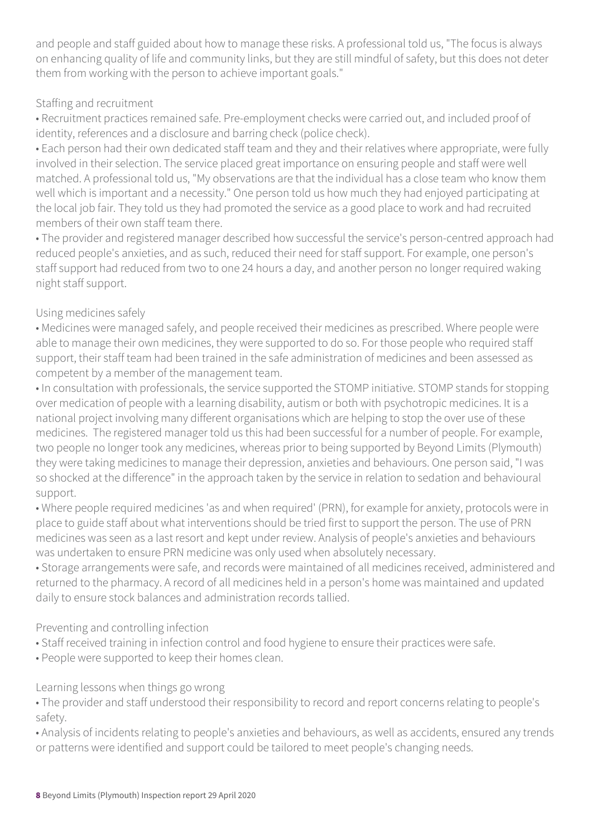and people and staff guided about how to manage these risks. A professional told us, "The focus is always on enhancing quality of life and community links, but they are still mindful of safety, but this does not deter them from working with the person to achieve important goals."

#### Staffing and recruitment

• Recruitment practices remained safe. Pre-employment checks were carried out, and included proof of identity, references and a disclosure and barring check (police check).

• Each person had their own dedicated staff team and they and their relatives where appropriate, were fully involved in their selection. The service placed great importance on ensuring people and staff were well matched. A professional told us, "My observations are that the individual has a close team who know them well which is important and a necessity." One person told us how much they had enjoyed participating at the local job fair. They told us they had promoted the service as a good place to work and had recruited members of their own staff team there.

• The provider and registered manager described how successful the service's person-centred approach had reduced people's anxieties, and as such, reduced their need for staff support. For example, one person's staff support had reduced from two to one 24 hours a day, and another person no longer required waking night staff support.

#### Using medicines safely

• Medicines were managed safely, and people received their medicines as prescribed. Where people were able to manage their own medicines, they were supported to do so. For those people who required staff support, their staff team had been trained in the safe administration of medicines and been assessed as competent by a member of the management team.

• In consultation with professionals, the service supported the STOMP initiative. STOMP stands for stopping over medication of people with a learning disability, autism or both with psychotropic medicines. It is a national project involving many different organisations which are helping to stop the over use of these medicines. The registered manager told us this had been successful for a number of people. For example, two people no longer took any medicines, whereas prior to being supported by Beyond Limits (Plymouth) they were taking medicines to manage their depression, anxieties and behaviours. One person said, "I was so shocked at the difference" in the approach taken by the service in relation to sedation and behavioural support.

• Where people required medicines 'as and when required' (PRN), for example for anxiety, protocols were in place to guide staff about what interventions should be tried first to support the person. The use of PRN medicines was seen as a last resort and kept under review. Analysis of people's anxieties and behaviours was undertaken to ensure PRN medicine was only used when absolutely necessary.

• Storage arrangements were safe, and records were maintained of all medicines received, administered and returned to the pharmacy. A record of all medicines held in a person's home was maintained and updated daily to ensure stock balances and administration records tallied.

Preventing and controlling infection

• Staff received training in infection control and food hygiene to ensure their practices were safe.

• People were supported to keep their homes clean.

#### Learning lessons when things go wrong

• The provider and staff understood their responsibility to record and report concerns relating to people's safety.

• Analysis of incidents relating to people's anxieties and behaviours, as well as accidents, ensured any trends or patterns were identified and support could be tailored to meet people's changing needs.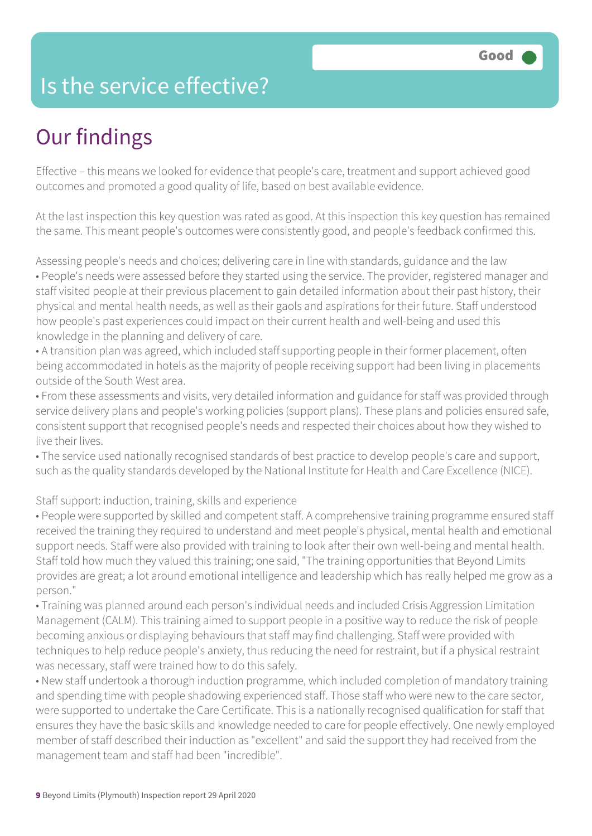### Is the service effective?

### Our findings

Effective – this means we looked for evidence that people's care, treatment and support achieved good outcomes and promoted a good quality of life, based on best available evidence.

At the last inspection this key question was rated as good. At this inspection this key question has remained the same. This meant people's outcomes were consistently good, and people's feedback confirmed this.

Assessing people's needs and choices; delivering care in line with standards, guidance and the law • People's needs were assessed before they started using the service. The provider, registered manager and staff visited people at their previous placement to gain detailed information about their past history, their physical and mental health needs, as well as their gaols and aspirations for their future. Staff understood how people's past experiences could impact on their current health and well-being and used this knowledge in the planning and delivery of care.

• A transition plan was agreed, which included staff supporting people in their former placement, often being accommodated in hotels as the majority of people receiving support had been living in placements outside of the South West area.

• From these assessments and visits, very detailed information and guidance for staff was provided through service delivery plans and people's working policies (support plans). These plans and policies ensured safe, consistent support that recognised people's needs and respected their choices about how they wished to live their lives.

• The service used nationally recognised standards of best practice to develop people's care and support, such as the quality standards developed by the National Institute for Health and Care Excellence (NICE).

#### Staff support: induction, training, skills and experience

• People were supported by skilled and competent staff. A comprehensive training programme ensured staff received the training they required to understand and meet people's physical, mental health and emotional support needs. Staff were also provided with training to look after their own well-being and mental health. Staff told how much they valued this training; one said, "The training opportunities that Beyond Limits provides are great; a lot around emotional intelligence and leadership which has really helped me grow as a person."

• Training was planned around each person's individual needs and included Crisis Aggression Limitation Management (CALM). This training aimed to support people in a positive way to reduce the risk of people becoming anxious or displaying behaviours that staff may find challenging. Staff were provided with techniques to help reduce people's anxiety, thus reducing the need for restraint, but if a physical restraint was necessary, staff were trained how to do this safely.

• New staff undertook a thorough induction programme, which included completion of mandatory training and spending time with people shadowing experienced staff. Those staff who were new to the care sector, were supported to undertake the Care Certificate. This is a nationally recognised qualification for staff that ensures they have the basic skills and knowledge needed to care for people effectively. One newly employed member of staff described their induction as "excellent" and said the support they had received from the management team and staff had been "incredible".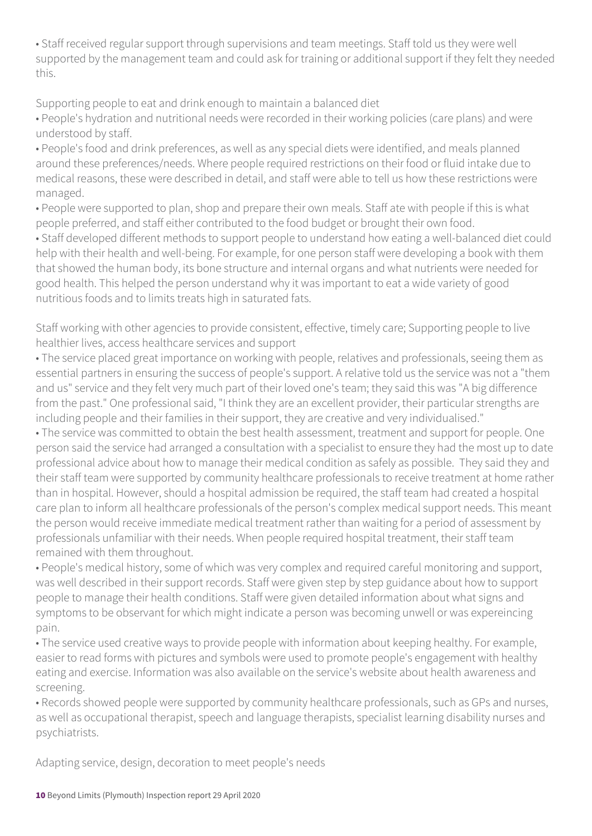• Staff received regular support through supervisions and team meetings. Staff told us they were well supported by the management team and could ask for training or additional support if they felt they needed this.

Supporting people to eat and drink enough to maintain a balanced diet

• People's hydration and nutritional needs were recorded in their working policies (care plans) and were understood by staff.

• People's food and drink preferences, as well as any special diets were identified, and meals planned around these preferences/needs. Where people required restrictions on their food or fluid intake due to medical reasons, these were described in detail, and staff were able to tell us how these restrictions were managed.

• People were supported to plan, shop and prepare their own meals. Staff ate with people if this is what people preferred, and staff either contributed to the food budget or brought their own food. • Staff developed different methods to support people to understand how eating a well-balanced diet could

help with their health and well-being. For example, for one person staff were developing a book with them that showed the human body, its bone structure and internal organs and what nutrients were needed for good health. This helped the person understand why it was important to eat a wide variety of good nutritious foods and to limits treats high in saturated fats.

Staff working with other agencies to provide consistent, effective, timely care; Supporting people to live healthier lives, access healthcare services and support

• The service placed great importance on working with people, relatives and professionals, seeing them as essential partners in ensuring the success of people's support. A relative told us the service was not a "them and us" service and they felt very much part of their loved one's team; they said this was "A big difference from the past." One professional said, "I think they are an excellent provider, their particular strengths are including people and their families in their support, they are creative and very individualised."

• The service was committed to obtain the best health assessment, treatment and support for people. One person said the service had arranged a consultation with a specialist to ensure they had the most up to date professional advice about how to manage their medical condition as safely as possible. They said they and their staff team were supported by community healthcare professionals to receive treatment at home rather than in hospital. However, should a hospital admission be required, the staff team had created a hospital care plan to inform all healthcare professionals of the person's complex medical support needs. This meant the person would receive immediate medical treatment rather than waiting for a period of assessment by professionals unfamiliar with their needs. When people required hospital treatment, their staff team remained with them throughout.

• People's medical history, some of which was very complex and required careful monitoring and support, was well described in their support records. Staff were given step by step guidance about how to support people to manage their health conditions. Staff were given detailed information about what signs and symptoms to be observant for which might indicate a person was becoming unwell or was expereincing pain.

• The service used creative ways to provide people with information about keeping healthy. For example, easier to read forms with pictures and symbols were used to promote people's engagement with healthy eating and exercise. Information was also available on the service's website about health awareness and screening.

• Records showed people were supported by community healthcare professionals, such as GPs and nurses, as well as occupational therapist, speech and language therapists, specialist learning disability nurses and psychiatrists.

Adapting service, design, decoration to meet people's needs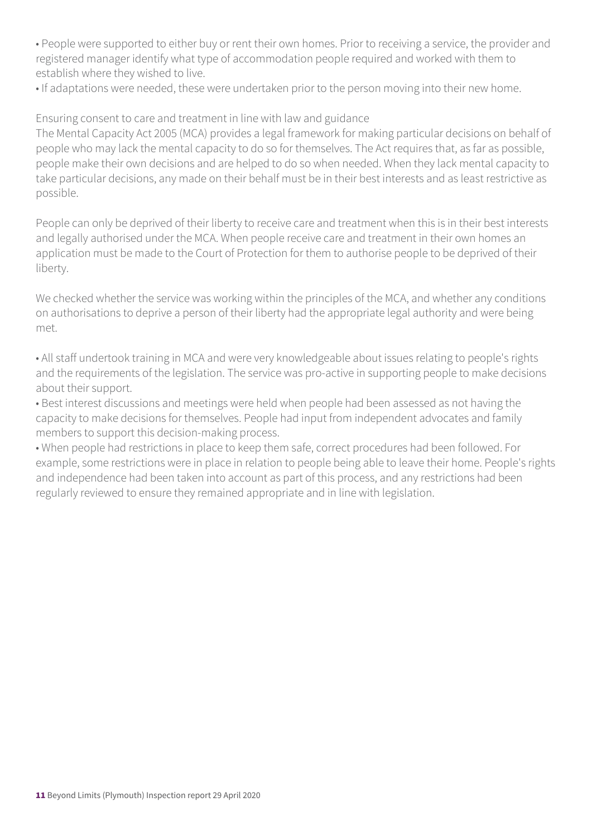• People were supported to either buy or rent their own homes. Prior to receiving a service, the provider and registered manager identify what type of accommodation people required and worked with them to establish where they wished to live.

• If adaptations were needed, these were undertaken prior to the person moving into their new home.

Ensuring consent to care and treatment in line with law and guidance

The Mental Capacity Act 2005 (MCA) provides a legal framework for making particular decisions on behalf of people who may lack the mental capacity to do so for themselves. The Act requires that, as far as possible, people make their own decisions and are helped to do so when needed. When they lack mental capacity to take particular decisions, any made on their behalf must be in their best interests and as least restrictive as possible.

People can only be deprived of their liberty to receive care and treatment when this is in their best interests and legally authorised under the MCA. When people receive care and treatment in their own homes an application must be made to the Court of Protection for them to authorise people to be deprived of their liberty.

We checked whether the service was working within the principles of the MCA, and whether any conditions on authorisations to deprive a person of their liberty had the appropriate legal authority and were being met.

• All staff undertook training in MCA and were very knowledgeable about issues relating to people's rights and the requirements of the legislation. The service was pro-active in supporting people to make decisions about their support.

• Best interest discussions and meetings were held when people had been assessed as not having the capacity to make decisions for themselves. People had input from independent advocates and family members to support this decision-making process.

• When people had restrictions in place to keep them safe, correct procedures had been followed. For example, some restrictions were in place in relation to people being able to leave their home. People's rights and independence had been taken into account as part of this process, and any restrictions had been regularly reviewed to ensure they remained appropriate and in line with legislation.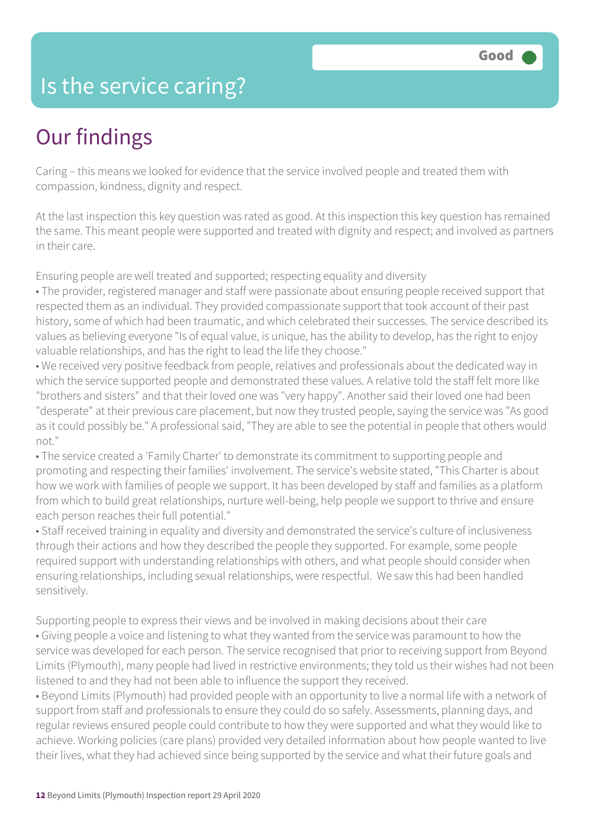### Is the service caring?

### Our findings

Caring – this means we looked for evidence that the service involved people and treated them with compassion, kindness, dignity and respect.

At the last inspection this key question was rated as good. At this inspection this key question has remained the same. This meant people were supported and treated with dignity and respect; and involved as partners in their care.

Ensuring people are well treated and supported; respecting equality and diversity

• The provider, registered manager and staff were passionate about ensuring people received support that respected them as an individual. They provided compassionate support that took account of their past history, some of which had been traumatic, and which celebrated their successes. The service described its values as believing everyone "Is of equal value, is unique, has the ability to develop, has the right to enjoy valuable relationships, and has the right to lead the life they choose."

• We received very positive feedback from people, relatives and professionals about the dedicated way in which the service supported people and demonstrated these values. A relative told the staff felt more like "brothers and sisters" and that their loved one was "very happy". Another said their loved one had been "desperate" at their previous care placement, but now they trusted people, saying the service was "As good as it could possibly be." A professional said, "They are able to see the potential in people that others would not."

• The service created a 'Family Charter' to demonstrate its commitment to supporting people and promoting and respecting their families' involvement. The service's website stated, "This Charter is about how we work with families of people we support. It has been developed by staff and families as a platform from which to build great relationships, nurture well-being, help people we support to thrive and ensure each person reaches their full potential."

• Staff received training in equality and diversity and demonstrated the service's culture of inclusiveness through their actions and how they described the people they supported. For example, some people required support with understanding relationships with others, and what people should consider when ensuring relationships, including sexual relationships, were respectful. We saw this had been handled sensitively.

Supporting people to express their views and be involved in making decisions about their care • Giving people a voice and listening to what they wanted from the service was paramount to how the service was developed for each person. The service recognised that prior to receiving support from Beyond Limits (Plymouth), many people had lived in restrictive environments; they told us their wishes had not been listened to and they had not been able to influence the support they received.

• Beyond Limits (Plymouth) had provided people with an opportunity to live a normal life with a network of support from staff and professionals to ensure they could do so safely. Assessments, planning days, and regular reviews ensured people could contribute to how they were supported and what they would like to achieve. Working policies (care plans) provided very detailed information about how people wanted to live their lives, what they had achieved since being supported by the service and what their future goals and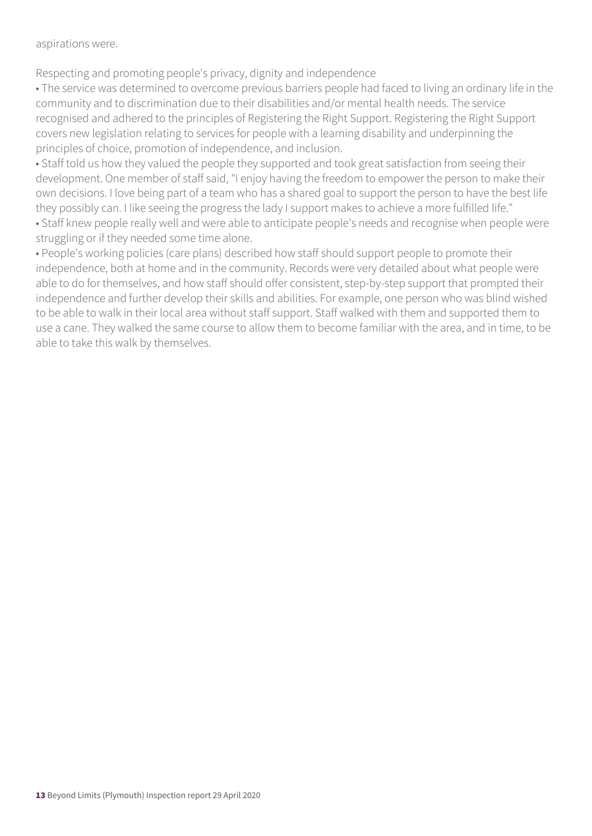aspirations were.

Respecting and promoting people's privacy, dignity and independence

• The service was determined to overcome previous barriers people had faced to living an ordinary life in the community and to discrimination due to their disabilities and/or mental health needs. The service recognised and adhered to the principles of Registering the Right Support. Registering the Right Support covers new legislation relating to services for people with a learning disability and underpinning the principles of choice, promotion of independence, and inclusion.

• Staff told us how they valued the people they supported and took great satisfaction from seeing their development. One member of staff said, "I enjoy having the freedom to empower the person to make their own decisions. I love being part of a team who has a shared goal to support the person to have the best life they possibly can. I like seeing the progress the lady I support makes to achieve a more fulfilled life." • Staff knew people really well and were able to anticipate people's needs and recognise when people were

struggling or if they needed some time alone.

• People's working policies (care plans) described how staff should support people to promote their independence, both at home and in the community. Records were very detailed about what people were able to do for themselves, and how staff should offer consistent, step-by-step support that prompted their independence and further develop their skills and abilities. For example, one person who was blind wished to be able to walk in their local area without staff support. Staff walked with them and supported them to use a cane. They walked the same course to allow them to become familiar with the area, and in time, to be able to take this walk by themselves.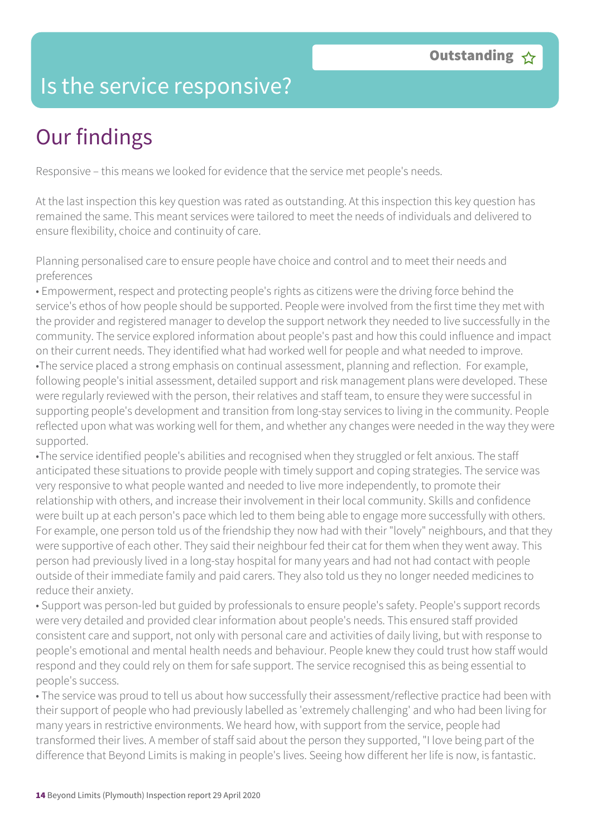### Is the service responsive?

# Our findings

Responsive – this means we looked for evidence that the service met people's needs.

At the last inspection this key question was rated as outstanding. At this inspection this key question has remained the same. This meant services were tailored to meet the needs of individuals and delivered to ensure flexibility, choice and continuity of care.

Planning personalised care to ensure people have choice and control and to meet their needs and preferences

• Empowerment, respect and protecting people's rights as citizens were the driving force behind the service's ethos of how people should be supported. People were involved from the first time they met with the provider and registered manager to develop the support network they needed to live successfully in the community. The service explored information about people's past and how this could influence and impact on their current needs. They identified what had worked well for people and what needed to improve. •The service placed a strong emphasis on continual assessment, planning and reflection. For example, following people's initial assessment, detailed support and risk management plans were developed. These were regularly reviewed with the person, their relatives and staff team, to ensure they were successful in supporting people's development and transition from long-stay services to living in the community. People reflected upon what was working well for them, and whether any changes were needed in the way they were supported.

•The service identified people's abilities and recognised when they struggled or felt anxious. The staff anticipated these situations to provide people with timely support and coping strategies. The service was very responsive to what people wanted and needed to live more independently, to promote their relationship with others, and increase their involvement in their local community. Skills and confidence were built up at each person's pace which led to them being able to engage more successfully with others. For example, one person told us of the friendship they now had with their "lovely" neighbours, and that they were supportive of each other. They said their neighbour fed their cat for them when they went away. This person had previously lived in a long-stay hospital for many years and had not had contact with people outside of their immediate family and paid carers. They also told us they no longer needed medicines to reduce their anxiety.

• Support was person-led but guided by professionals to ensure people's safety. People's support records were very detailed and provided clear information about people's needs. This ensured staff provided consistent care and support, not only with personal care and activities of daily living, but with response to people's emotional and mental health needs and behaviour. People knew they could trust how staff would respond and they could rely on them for safe support. The service recognised this as being essential to people's success.

• The service was proud to tell us about how successfully their assessment/reflective practice had been with their support of people who had previously labelled as 'extremely challenging' and who had been living for many years in restrictive environments. We heard how, with support from the service, people had transformed their lives. A member of staff said about the person they supported, "I love being part of the difference that Beyond Limits is making in people's lives. Seeing how different her life is now, is fantastic.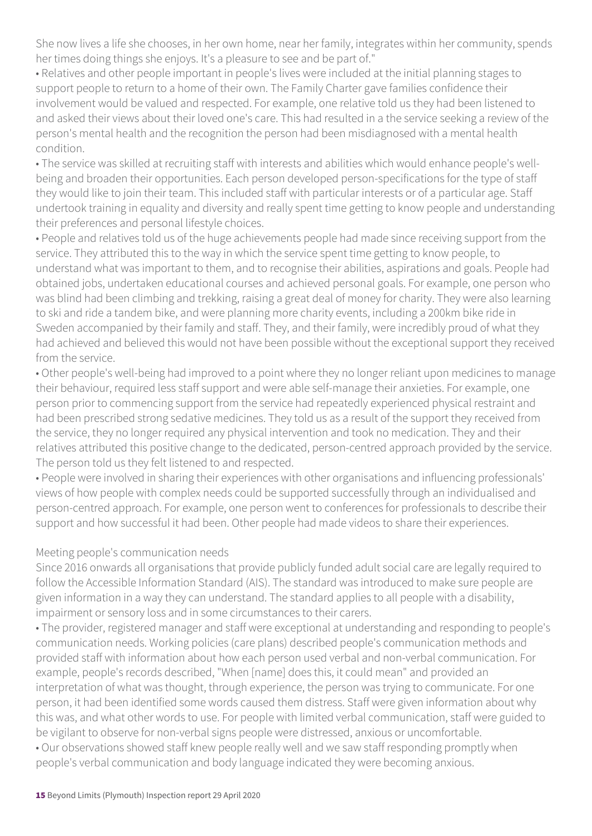She now lives a life she chooses, in her own home, near her family, integrates within her community, spends her times doing things she enjoys. It's a pleasure to see and be part of."

• Relatives and other people important in people's lives were included at the initial planning stages to support people to return to a home of their own. The Family Charter gave families confidence their involvement would be valued and respected. For example, one relative told us they had been listened to and asked their views about their loved one's care. This had resulted in a the service seeking a review of the person's mental health and the recognition the person had been misdiagnosed with a mental health condition.

• The service was skilled at recruiting staff with interests and abilities which would enhance people's wellbeing and broaden their opportunities. Each person developed person-specifications for the type of staff they would like to join their team. This included staff with particular interests or of a particular age. Staff undertook training in equality and diversity and really spent time getting to know people and understanding their preferences and personal lifestyle choices.

• People and relatives told us of the huge achievements people had made since receiving support from the service. They attributed this to the way in which the service spent time getting to know people, to understand what was important to them, and to recognise their abilities, aspirations and goals. People had obtained jobs, undertaken educational courses and achieved personal goals. For example, one person who was blind had been climbing and trekking, raising a great deal of money for charity. They were also learning to ski and ride a tandem bike, and were planning more charity events, including a 200km bike ride in Sweden accompanied by their family and staff. They, and their family, were incredibly proud of what they had achieved and believed this would not have been possible without the exceptional support they received from the service.

• Other people's well-being had improved to a point where they no longer reliant upon medicines to manage their behaviour, required less staff support and were able self-manage their anxieties. For example, one person prior to commencing support from the service had repeatedly experienced physical restraint and had been prescribed strong sedative medicines. They told us as a result of the support they received from the service, they no longer required any physical intervention and took no medication. They and their relatives attributed this positive change to the dedicated, person-centred approach provided by the service. The person told us they felt listened to and respected.

• People were involved in sharing their experiences with other organisations and influencing professionals' views of how people with complex needs could be supported successfully through an individualised and person-centred approach. For example, one person went to conferences for professionals to describe their support and how successful it had been. Other people had made videos to share their experiences.

#### Meeting people's communication needs

Since 2016 onwards all organisations that provide publicly funded adult social care are legally required to follow the Accessible Information Standard (AIS). The standard was introduced to make sure people are given information in a way they can understand. The standard applies to all people with a disability, impairment or sensory loss and in some circumstances to their carers.

• The provider, registered manager and staff were exceptional at understanding and responding to people's communication needs. Working policies (care plans) described people's communication methods and provided staff with information about how each person used verbal and non-verbal communication. For example, people's records described, "When [name] does this, it could mean" and provided an interpretation of what was thought, through experience, the person was trying to communicate. For one person, it had been identified some words caused them distress. Staff were given information about why this was, and what other words to use. For people with limited verbal communication, staff were guided to be vigilant to observe for non-verbal signs people were distressed, anxious or uncomfortable. • Our observations showed staff knew people really well and we saw staff responding promptly when people's verbal communication and body language indicated they were becoming anxious.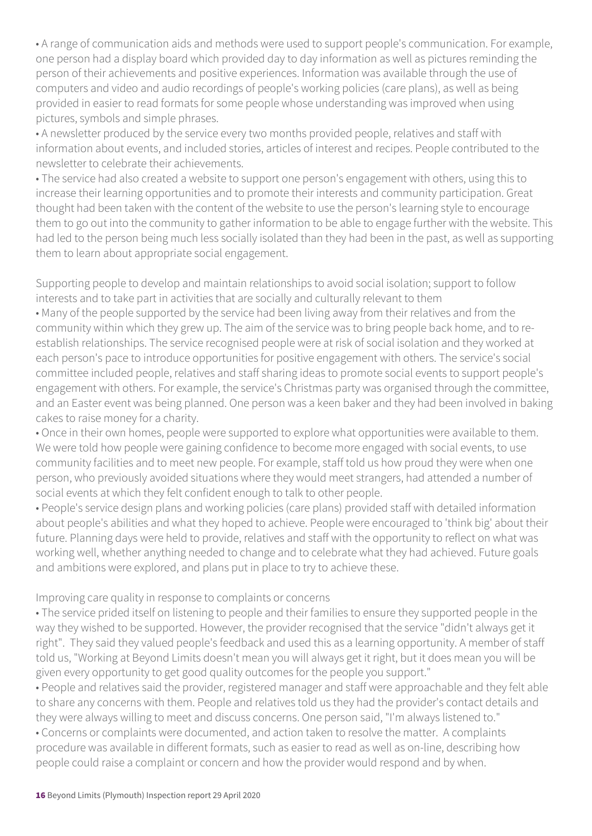• A range of communication aids and methods were used to support people's communication. For example, one person had a display board which provided day to day information as well as pictures reminding the person of their achievements and positive experiences. Information was available through the use of computers and video and audio recordings of people's working policies (care plans), as well as being provided in easier to read formats for some people whose understanding was improved when using pictures, symbols and simple phrases.

• A newsletter produced by the service every two months provided people, relatives and staff with information about events, and included stories, articles of interest and recipes. People contributed to the newsletter to celebrate their achievements.

• The service had also created a website to support one person's engagement with others, using this to increase their learning opportunities and to promote their interests and community participation. Great thought had been taken with the content of the website to use the person's learning style to encourage them to go out into the community to gather information to be able to engage further with the website. This had led to the person being much less socially isolated than they had been in the past, as well as supporting them to learn about appropriate social engagement.

Supporting people to develop and maintain relationships to avoid social isolation; support to follow interests and to take part in activities that are socially and culturally relevant to them

• Many of the people supported by the service had been living away from their relatives and from the community within which they grew up. The aim of the service was to bring people back home, and to reestablish relationships. The service recognised people were at risk of social isolation and they worked at each person's pace to introduce opportunities for positive engagement with others. The service's social committee included people, relatives and staff sharing ideas to promote social events to support people's engagement with others. For example, the service's Christmas party was organised through the committee, and an Easter event was being planned. One person was a keen baker and they had been involved in baking cakes to raise money for a charity.

• Once in their own homes, people were supported to explore what opportunities were available to them. We were told how people were gaining confidence to become more engaged with social events, to use community facilities and to meet new people. For example, staff told us how proud they were when one person, who previously avoided situations where they would meet strangers, had attended a number of social events at which they felt confident enough to talk to other people.

• People's service design plans and working policies (care plans) provided staff with detailed information about people's abilities and what they hoped to achieve. People were encouraged to 'think big' about their future. Planning days were held to provide, relatives and staff with the opportunity to reflect on what was working well, whether anything needed to change and to celebrate what they had achieved. Future goals and ambitions were explored, and plans put in place to try to achieve these.

#### Improving care quality in response to complaints or concerns

• The service prided itself on listening to people and their families to ensure they supported people in the way they wished to be supported. However, the provider recognised that the service "didn't always get it right". They said they valued people's feedback and used this as a learning opportunity. A member of staff told us, "Working at Beyond Limits doesn't mean you will always get it right, but it does mean you will be given every opportunity to get good quality outcomes for the people you support."

• People and relatives said the provider, registered manager and staff were approachable and they felt able to share any concerns with them. People and relatives told us they had the provider's contact details and they were always willing to meet and discuss concerns. One person said, "I'm always listened to." • Concerns or complaints were documented, and action taken to resolve the matter. A complaints procedure was available in different formats, such as easier to read as well as on-line, describing how

people could raise a complaint or concern and how the provider would respond and by when.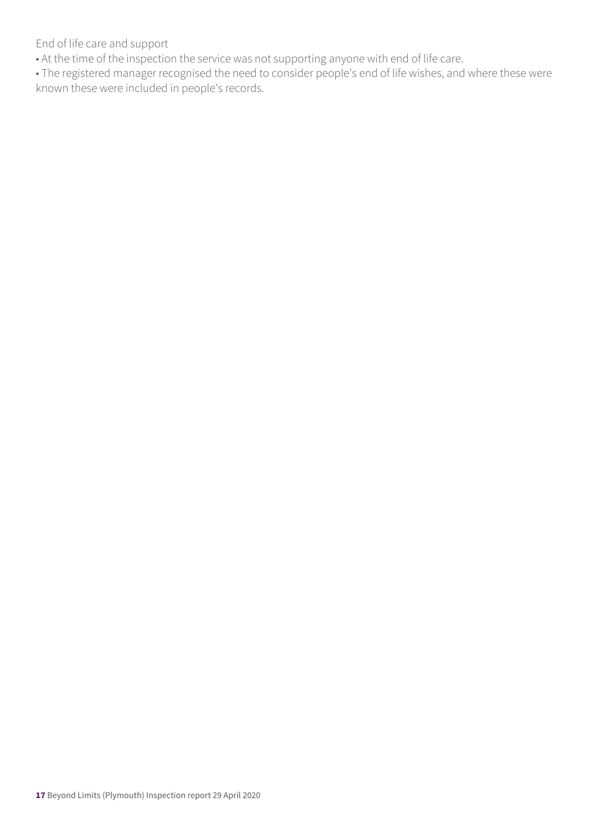End of life care and support

• At the time of the inspection the service was not supporting anyone with end of life care.

• The registered manager recognised the need to consider people's end of life wishes, and where these were known these were included in people's records.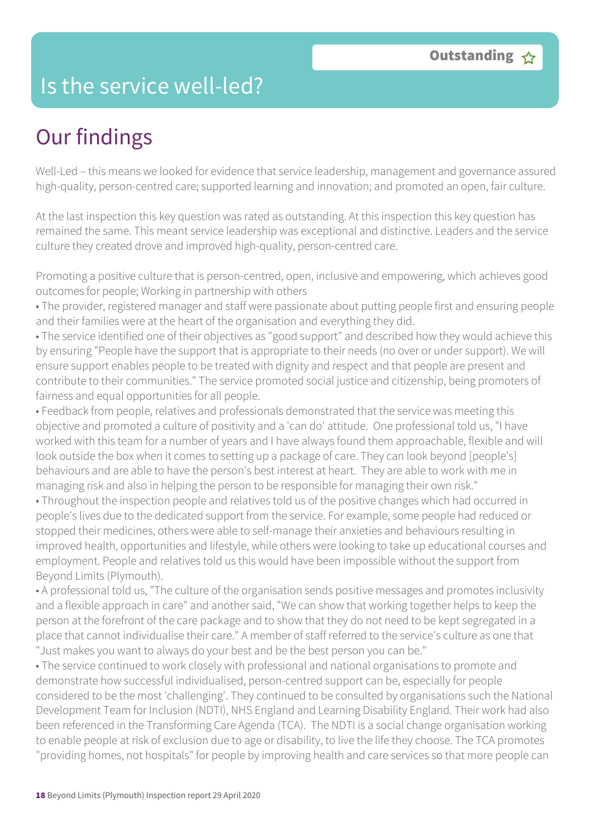### Is the service well-led?

## Our findings

Well-Led – this means we looked for evidence that service leadership, management and governance assured high-quality, person-centred care; supported learning and innovation; and promoted an open, fair culture.

At the last inspection this key question was rated as outstanding. At this inspection this key question has remained the same. This meant service leadership was exceptional and distinctive. Leaders and the service culture they created drove and improved high-quality, person-centred care.

Promoting a positive culture that is person-centred, open, inclusive and empowering, which achieves good outcomes for people; Working in partnership with others

• The provider, registered manager and staff were passionate about putting people first and ensuring people and their families were at the heart of the organisation and everything they did.

• The service identified one of their objectives as "good support" and described how they would achieve this by ensuring "People have the support that is appropriate to their needs (no over or under support). We will ensure support enables people to be treated with dignity and respect and that people are present and contribute to their communities." The service promoted social justice and citizenship, being promoters of fairness and equal opportunities for all people.

• Feedback from people, relatives and professionals demonstrated that the service was meeting this objective and promoted a culture of positivity and a 'can do' attitude. One professional told us, "I have worked with this team for a number of years and I have always found them approachable, flexible and will look outside the box when it comes to setting up a package of care. They can look beyond [people's] behaviours and are able to have the person's best interest at heart. They are able to work with me in managing risk and also in helping the person to be responsible for managing their own risk."

• Throughout the inspection people and relatives told us of the positive changes which had occurred in people's lives due to the dedicated support from the service. For example, some people had reduced or stopped their medicines, others were able to self-manage their anxieties and behaviours resulting in improved health, opportunities and lifestyle, while others were looking to take up educational courses and employment. People and relatives told us this would have been impossible without the support from Beyond Limits (Plymouth).

• A professional told us, "The culture of the organisation sends positive messages and promotes inclusivity and a flexible approach in care" and another said, "We can show that working together helps to keep the person at the forefront of the care package and to show that they do not need to be kept segregated in a place that cannot individualise their care." A member of staff referred to the service's culture as one that "Just makes you want to always do your best and be the best person you can be."

• The service continued to work closely with professional and national organisations to promote and demonstrate how successful individualised, person-centred support can be, especially for people considered to be the most 'challenging'. They continued to be consulted by organisations such the National Development Team for Inclusion (NDTI), NHS England and Learning Disability England. Their work had also been referenced in the Transforming Care Agenda (TCA). The NDTI is a social change organisation working to enable people at risk of exclusion due to age or disability, to live the life they choose. The TCA promotes "providing homes, not hospitals" for people by improving health and care services so that more people can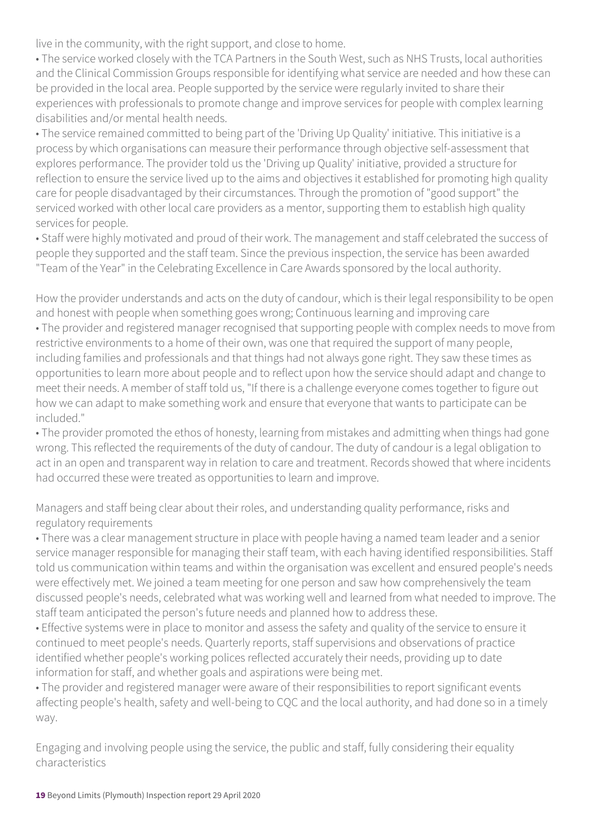live in the community, with the right support, and close to home.

• The service worked closely with the TCA Partners in the South West, such as NHS Trusts, local authorities and the Clinical Commission Groups responsible for identifying what service are needed and how these can be provided in the local area. People supported by the service were regularly invited to share their experiences with professionals to promote change and improve services for people with complex learning disabilities and/or mental health needs.

• The service remained committed to being part of the 'Driving Up Quality' initiative. This initiative is a process by which organisations can measure their performance through objective self-assessment that explores performance. The provider told us the 'Driving up Quality' initiative, provided a structure for reflection to ensure the service lived up to the aims and objectives it established for promoting high quality care for people disadvantaged by their circumstances. Through the promotion of "good support" the serviced worked with other local care providers as a mentor, supporting them to establish high quality services for people.

• Staff were highly motivated and proud of their work. The management and staff celebrated the success of people they supported and the staff team. Since the previous inspection, the service has been awarded "Team of the Year" in the Celebrating Excellence in Care Awards sponsored by the local authority.

How the provider understands and acts on the duty of candour, which is their legal responsibility to be open and honest with people when something goes wrong; Continuous learning and improving care • The provider and registered manager recognised that supporting people with complex needs to move from restrictive environments to a home of their own, was one that required the support of many people, including families and professionals and that things had not always gone right. They saw these times as opportunities to learn more about people and to reflect upon how the service should adapt and change to meet their needs. A member of staff told us, "If there is a challenge everyone comes together to figure out how we can adapt to make something work and ensure that everyone that wants to participate can be included."

• The provider promoted the ethos of honesty, learning from mistakes and admitting when things had gone wrong. This reflected the requirements of the duty of candour. The duty of candour is a legal obligation to act in an open and transparent way in relation to care and treatment. Records showed that where incidents had occurred these were treated as opportunities to learn and improve.

Managers and staff being clear about their roles, and understanding quality performance, risks and regulatory requirements

• There was a clear management structure in place with people having a named team leader and a senior service manager responsible for managing their staff team, with each having identified responsibilities. Staff told us communication within teams and within the organisation was excellent and ensured people's needs were effectively met. We joined a team meeting for one person and saw how comprehensively the team discussed people's needs, celebrated what was working well and learned from what needed to improve. The staff team anticipated the person's future needs and planned how to address these.

• Effective systems were in place to monitor and assess the safety and quality of the service to ensure it continued to meet people's needs. Quarterly reports, staff supervisions and observations of practice identified whether people's working polices reflected accurately their needs, providing up to date information for staff, and whether goals and aspirations were being met.

• The provider and registered manager were aware of their responsibilities to report significant events affecting people's health, safety and well-being to CQC and the local authority, and had done so in a timely way.

Engaging and involving people using the service, the public and staff, fully considering their equality characteristics